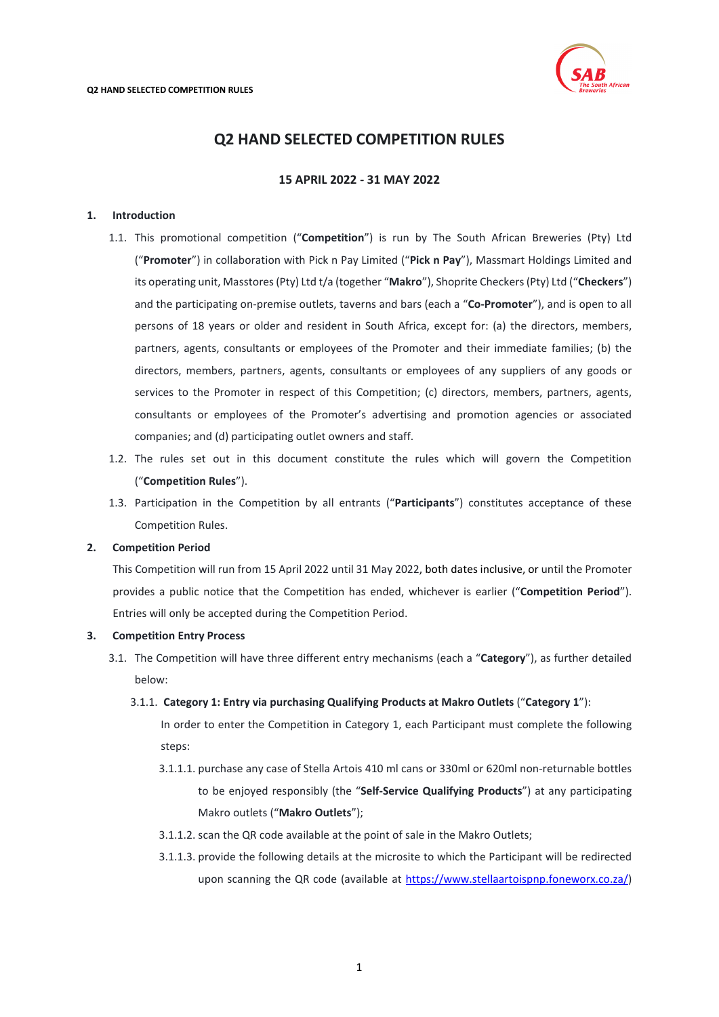

# **Q2 HAND SELECTED COMPETITION RULES**

# **15 APRIL 2022 - 31 MAY 2022**

# <span id="page-0-0"></span>**1. Introduction**

- 1.1. This promotional competition ("**Competition**") is run by The South African Breweries (Pty) Ltd ("**Promoter**") in collaboration with Pick n Pay Limited ("**Pick n Pay**"), Massmart Holdings Limited and its operating unit, Masstores (Pty) Ltd t/a (together "**Makro**"), Shoprite Checkers(Pty) Ltd ("**Checkers**") and the participating on-premise outlets, taverns and bars (each a "**Co-Promoter**"), and is open to all persons of 18 years or older and resident in South Africa, except for: (a) the directors, members, partners, agents, consultants or employees of the Promoter and their immediate families; (b) the directors, members, partners, agents, consultants or employees of any suppliers of any goods or services to the Promoter in respect of this Competition; (c) directors, members, partners, agents, consultants or employees of the Promoter's advertising and promotion agencies or associated companies; and (d) participating outlet owners and staff.
- 1.2. The rules set out in this document constitute the rules which will govern the Competition ("**Competition Rules**").
- 1.3. Participation in the Competition by all entrants ("**Participants**") constitutes acceptance of these Competition Rules.

## **2. Competition Period**

This Competition will run from 15 April 2022 until 31 May 2022, both dates inclusive, or until the Promoter provides a public notice that the Competition has ended, whichever is earlier ("**Competition Period**"). Entries will only be accepted during the Competition Period.

# **3. Competition Entry Process**

- 3.1. The Competition will have three different entry mechanisms (each a "**Category**"), as further detailed below:
	- 3.1.1. **Category 1: Entry via purchasing Qualifying Products at Makro Outlets** ("**Category 1**"):

In order to enter the Competition in Category 1, each Participant must complete the following steps:

- 3.1.1.1. purchase any case of Stella Artois 410 ml cans or 330ml or 620ml non-returnable bottles to be enjoyed responsibly (the "**Self-Service Qualifying Products**") at any participating Makro outlets ("**Makro Outlets**");
- 3.1.1.2. scan the QR code available at the point of sale in the Makro Outlets;
- 3.1.1.3. provide the following details at the microsite to which the Participant will be redirected upon scanning the QR code (available at [https://www.stellaartoispnp.foneworx.co.za/\)](https://www.stellaartoispnp.foneworx.co.za/)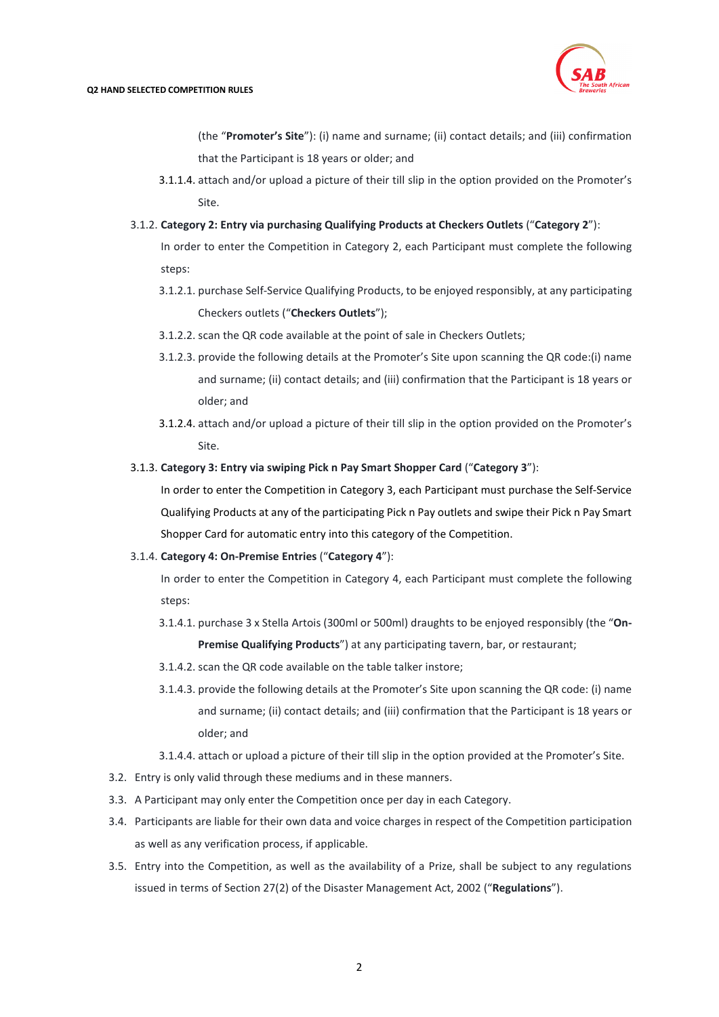

(the "**Promoter's Site**"): (i) name and surname; (ii) contact details; and (iii) confirmation that the Participant is 18 years or older; and

- 3.1.1.4. attach and/or upload a picture of their till slip in the option provided on the Promoter's Site.
- 3.1.2. **Category 2: Entry via purchasing Qualifying Products at Checkers Outlets** ("**Category 2**"):

In order to enter the Competition in Category 2, each Participant must complete the following steps:

- 3.1.2.1. purchase Self-Service Qualifying Products, to be enjoyed responsibly, at any participating Checkers outlets ("**Checkers Outlets**");
- 3.1.2.2. scan the QR code available at the point of sale in Checkers Outlets;
- 3.1.2.3. provide the following details at the Promoter's Site upon scanning the QR code:(i) name and surname; (ii) contact details; and (iii) confirmation that the Participant is 18 years or older; and
- 3.1.2.4. attach and/or upload a picture of their till slip in the option provided on the Promoter's Site.

## 3.1.3. **Category 3: Entry via swiping Pick n Pay Smart Shopper Card** ("**Category 3**"):

In order to enter the Competition in Category 3, each Participant must purchase the Self-Service Qualifying Products at any of the participating Pick n Pay outlets and swipe their Pick n Pay Smart Shopper Card for automatic entry into this category of the Competition.

#### 3.1.4. **Category 4: On-Premise Entries** ("**Category 4**"):

In order to enter the Competition in Category 4, each Participant must complete the following steps:

- 3.1.4.1. purchase 3 x Stella Artois (300ml or 500ml) draughts to be enjoyed responsibly (the "**On-Premise Qualifying Products**") at any participating tavern, bar, or restaurant;
- 3.1.4.2. scan the QR code available on the table talker instore;
- 3.1.4.3. provide the following details at the Promoter's Site upon scanning the QR code: (i) name and surname; (ii) contact details; and (iii) confirmation that the Participant is 18 years or older; and

3.1.4.4. attach or upload a picture of their till slip in the option provided at the Promoter's Site.

- 3.2. Entry is only valid through these mediums and in these manners.
- 3.3. A Participant may only enter the Competition once per day in each Category.
- 3.4. Participants are liable for their own data and voice charges in respect of the Competition participation as well as any verification process, if applicable.
- 3.5. Entry into the Competition, as well as the availability of a Prize, shall be subject to any regulations issued in terms of Section 27(2) of the Disaster Management Act, 2002 ("**Regulations**").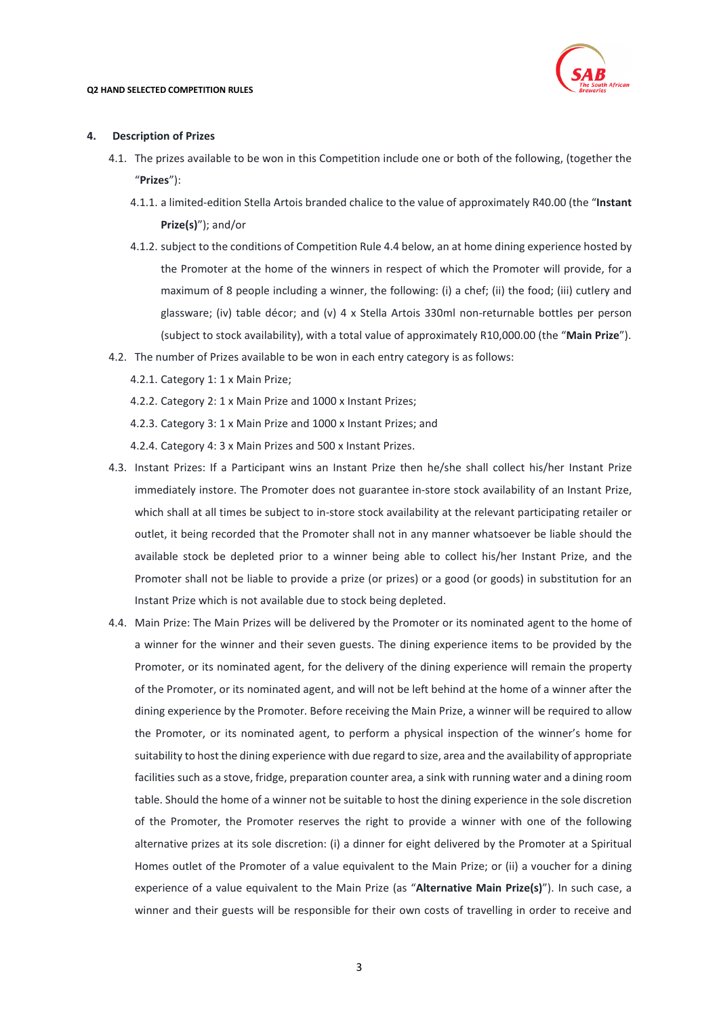

#### **4. Description of Prizes**

- 4.1. The prizes available to be won in this Competition include one or both of the following, (together the "**Prizes**"):
	- 4.1.1. a limited-edition Stella Artois branded chalice to the value of approximately R40.00 (the "**Instant Prize(s)**"); and/or
	- 4.1.2. subject to the conditions of Competition Rule [4.4](#page-2-0) below, an at home dining experience hosted by the Promoter at the home of the winners in respect of which the Promoter will provide, for a maximum of 8 people including a winner, the following: (i) a chef; (ii) the food; (iii) cutlery and glassware; (iv) table décor; and (v) 4 x Stella Artois 330ml non-returnable bottles per person (subject to stock availability), with a total value of approximately R10,000.00 (the "**Main Prize**").
- <span id="page-2-0"></span>4.2. The number of Prizes available to be won in each entry category is as follows:
	- 4.2.1. Category 1: 1 x Main Prize;
	- 4.2.2. Category 2: 1 x Main Prize and 1000 x Instant Prizes;
	- 4.2.3. Category 3: 1 x Main Prize and 1000 x Instant Prizes; and
	- 4.2.4. Category 4: 3 x Main Prizes and 500 x Instant Prizes.
- 4.3. Instant Prizes: If a Participant wins an Instant Prize then he/she shall collect his/her Instant Prize immediately instore. The Promoter does not guarantee in-store stock availability of an Instant Prize, which shall at all times be subject to in-store stock availability at the relevant participating retailer or outlet, it being recorded that the Promoter shall not in any manner whatsoever be liable should the available stock be depleted prior to a winner being able to collect his/her Instant Prize, and the Promoter shall not be liable to provide a prize (or prizes) or a good (or goods) in substitution for an Instant Prize which is not available due to stock being depleted.
- 4.4. Main Prize: The Main Prizes will be delivered by the Promoter or its nominated agent to the home of a winner for the winner and their seven guests. The dining experience items to be provided by the Promoter, or its nominated agent, for the delivery of the dining experience will remain the property of the Promoter, or its nominated agent, and will not be left behind at the home of a winner after the dining experience by the Promoter. Before receiving the Main Prize, a winner will be required to allow the Promoter, or its nominated agent, to perform a physical inspection of the winner's home for suitability to host the dining experience with due regard to size, area and the availability of appropriate facilities such as a stove, fridge, preparation counter area, a sink with running water and a dining room table. Should the home of a winner not be suitable to host the dining experience in the sole discretion of the Promoter, the Promoter reserves the right to provide a winner with one of the following alternative prizes at its sole discretion: (i) a dinner for eight delivered by the Promoter at a Spiritual Homes outlet of the Promoter of a value equivalent to the Main Prize; or (ii) a voucher for a dining experience of a value equivalent to the Main Prize (as "**Alternative Main Prize(s)**"). In such case, a winner and their guests will be responsible for their own costs of travelling in order to receive and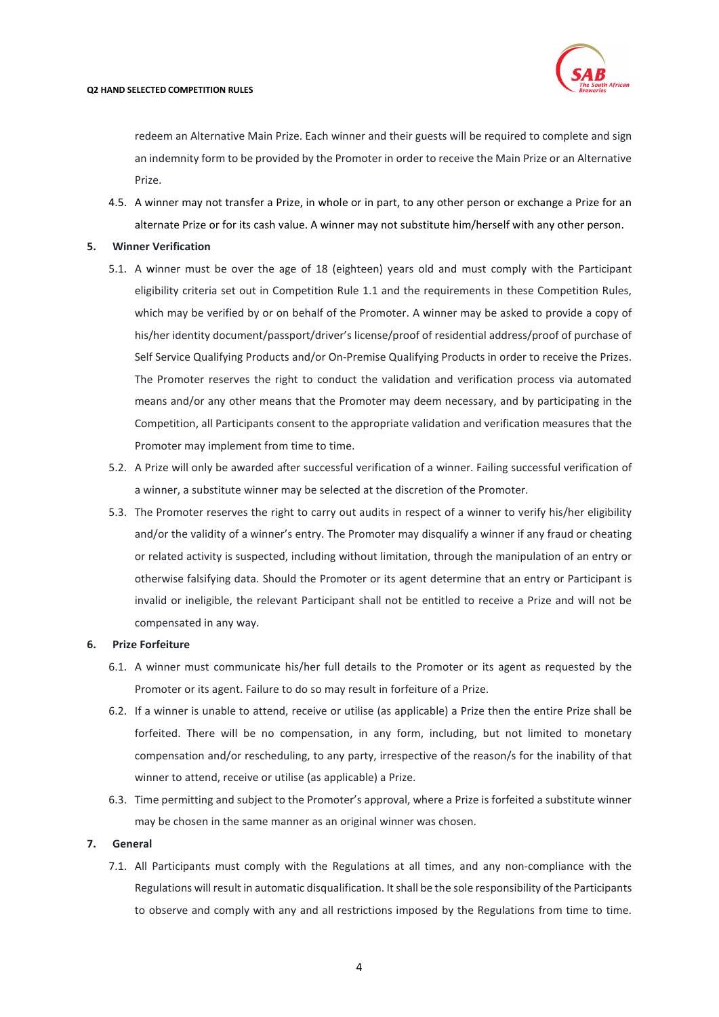

redeem an Alternative Main Prize. Each winner and their guests will be required to complete and sign an indemnity form to be provided by the Promoter in order to receive the Main Prize or an Alternative Prize.

4.5. A winner may not transfer a Prize, in whole or in part, to any other person or exchange a Prize for an alternate Prize or for its cash value. A winner may not substitute him/herself with any other person.

#### **5. Winner Verification**

- 5.1. A winner must be over the age of 18 (eighteen) years old and must comply with the Participant eligibility criteria set out in Competition Rule [1.1](#page-0-0) and the requirements in these Competition Rules, which may be verified by or on behalf of the Promoter. A winner may be asked to provide a copy of his/her identity document/passport/driver's license/proof of residential address/proof of purchase of Self Service Qualifying Products and/or On-Premise Qualifying Products in order to receive the Prizes. The Promoter reserves the right to conduct the validation and verification process via automated means and/or any other means that the Promoter may deem necessary, and by participating in the Competition, all Participants consent to the appropriate validation and verification measures that the Promoter may implement from time to time.
- 5.2. A Prize will only be awarded after successful verification of a winner. Failing successful verification of a winner, a substitute winner may be selected at the discretion of the Promoter.
- 5.3. The Promoter reserves the right to carry out audits in respect of a winner to verify his/her eligibility and/or the validity of a winner's entry. The Promoter may disqualify a winner if any fraud or cheating or related activity is suspected, including without limitation, through the manipulation of an entry or otherwise falsifying data. Should the Promoter or its agent determine that an entry or Participant is invalid or ineligible, the relevant Participant shall not be entitled to receive a Prize and will not be compensated in any way.

## **6. Prize Forfeiture**

- 6.1. A winner must communicate his/her full details to the Promoter or its agent as requested by the Promoter or its agent. Failure to do so may result in forfeiture of a Prize.
- 6.2. If a winner is unable to attend, receive or utilise (as applicable) a Prize then the entire Prize shall be forfeited. There will be no compensation, in any form, including, but not limited to monetary compensation and/or rescheduling, to any party, irrespective of the reason/s for the inability of that winner to attend, receive or utilise (as applicable) a Prize.
- 6.3. Time permitting and subject to the Promoter's approval, where a Prize is forfeited a substitute winner may be chosen in the same manner as an original winner was chosen.

#### **7. General**

7.1. All Participants must comply with the Regulations at all times, and any non-compliance with the Regulations will result in automatic disqualification. It shall be the sole responsibility of the Participants to observe and comply with any and all restrictions imposed by the Regulations from time to time.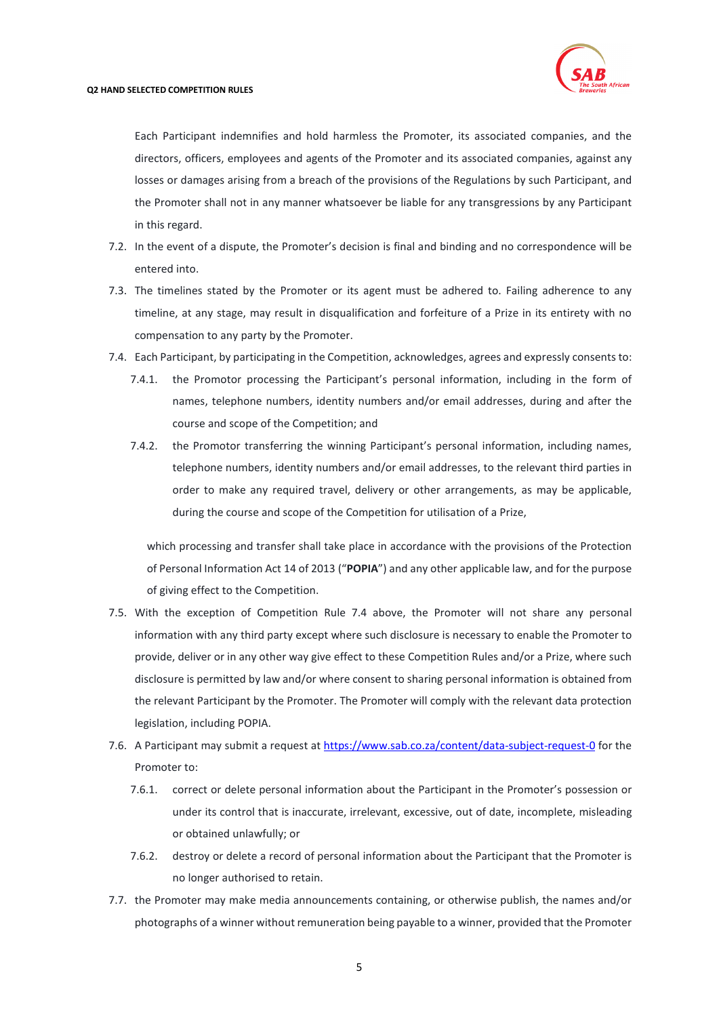

Each Participant indemnifies and hold harmless the Promoter, its associated companies, and the directors, officers, employees and agents of the Promoter and its associated companies, against any losses or damages arising from a breach of the provisions of the Regulations by such Participant, and the Promoter shall not in any manner whatsoever be liable for any transgressions by any Participant in this regard.

- 7.2. In the event of a dispute, the Promoter's decision is final and binding and no correspondence will be entered into.
- 7.3. The timelines stated by the Promoter or its agent must be adhered to. Failing adherence to any timeline, at any stage, may result in disqualification and forfeiture of a Prize in its entirety with no compensation to any party by the Promoter.
- <span id="page-4-0"></span>7.4. Each Participant, by participating in the Competition, acknowledges, agrees and expressly consents to:
	- 7.4.1. the Promotor processing the Participant's personal information, including in the form of names, telephone numbers, identity numbers and/or email addresses, during and after the course and scope of the Competition; and
	- 7.4.2. the Promotor transferring the winning Participant's personal information, including names, telephone numbers, identity numbers and/or email addresses, to the relevant third parties in order to make any required travel, delivery or other arrangements, as may be applicable, during the course and scope of the Competition for utilisation of a Prize,

which processing and transfer shall take place in accordance with the provisions of the Protection of Personal Information Act 14 of 2013 ("**POPIA**") and any other applicable law, and for the purpose of giving effect to the Competition.

- 7.5. With the exception of Competition Rule [7.4](#page-4-0) above, the Promoter will not share any personal information with any third party except where such disclosure is necessary to enable the Promoter to provide, deliver or in any other way give effect to these Competition Rules and/or a Prize, where such disclosure is permitted by law and/or where consent to sharing personal information is obtained from the relevant Participant by the Promoter. The Promoter will comply with the relevant data protection legislation, including POPIA.
- 7.6. A Participant may submit a request at<https://www.sab.co.za/content/data-subject-request-0> for the Promoter to:
	- 7.6.1. correct or delete personal information about the Participant in the Promoter's possession or under its control that is inaccurate, irrelevant, excessive, out of date, incomplete, misleading or obtained unlawfully; or
	- 7.6.2. destroy or delete a record of personal information about the Participant that the Promoter is no longer authorised to retain.
- 7.7. the Promoter may make media announcements containing, or otherwise publish, the names and/or photographs of a winner without remuneration being payable to a winner, provided that the Promoter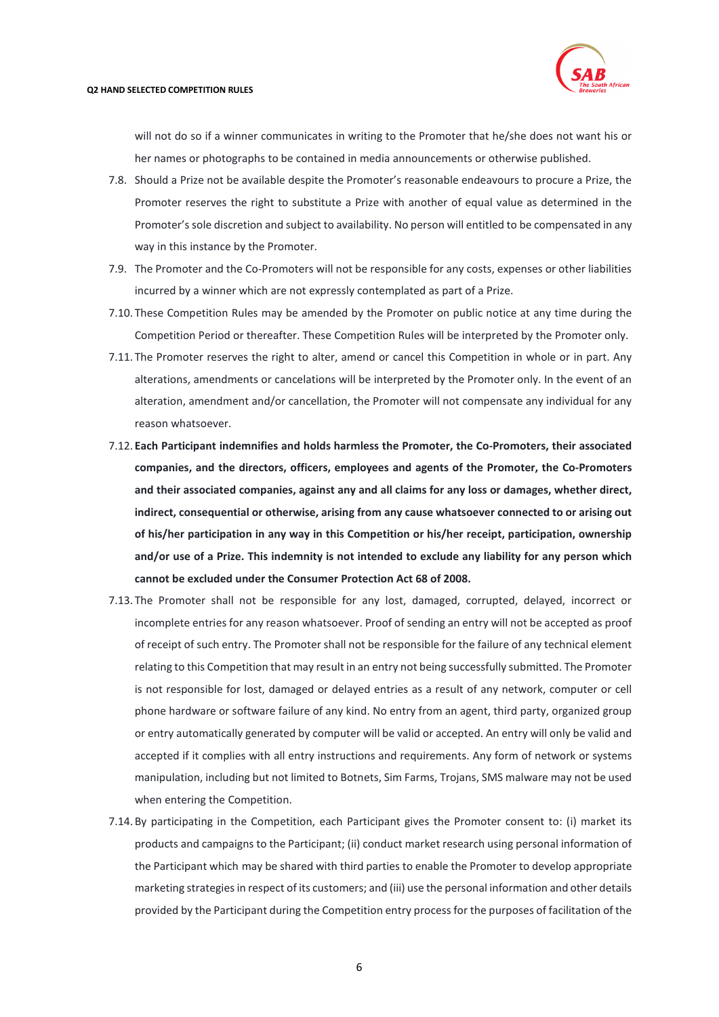

will not do so if a winner communicates in writing to the Promoter that he/she does not want his or her names or photographs to be contained in media announcements or otherwise published.

- 7.8. Should a Prize not be available despite the Promoter's reasonable endeavours to procure a Prize, the Promoter reserves the right to substitute a Prize with another of equal value as determined in the Promoter's sole discretion and subject to availability. No person will entitled to be compensated in any way in this instance by the Promoter.
- 7.9. The Promoter and the Co-Promoters will not be responsible for any costs, expenses or other liabilities incurred by a winner which are not expressly contemplated as part of a Prize.
- 7.10. These Competition Rules may be amended by the Promoter on public notice at any time during the Competition Period or thereafter. These Competition Rules will be interpreted by the Promoter only.
- 7.11. The Promoter reserves the right to alter, amend or cancel this Competition in whole or in part. Any alterations, amendments or cancelations will be interpreted by the Promoter only. In the event of an alteration, amendment and/or cancellation, the Promoter will not compensate any individual for any reason whatsoever.
- 7.12. **Each Participant indemnifies and holds harmless the Promoter, the Co-Promoters, their associated companies, and the directors, officers, employees and agents of the Promoter, the Co-Promoters and their associated companies, against any and all claims for any loss or damages, whether direct, indirect, consequential or otherwise, arising from any cause whatsoever connected to or arising out of his/her participation in any way in this Competition or his/her receipt, participation, ownership and/or use of a Prize. This indemnity is not intended to exclude any liability for any person which cannot be excluded under the Consumer Protection Act 68 of 2008.**
- 7.13. The Promoter shall not be responsible for any lost, damaged, corrupted, delayed, incorrect or incomplete entries for any reason whatsoever. Proof of sending an entry will not be accepted as proof of receipt of such entry. The Promoter shall not be responsible for the failure of any technical element relating to this Competition that may result in an entry not being successfully submitted. The Promoter is not responsible for lost, damaged or delayed entries as a result of any network, computer or cell phone hardware or software failure of any kind. No entry from an agent, third party, organized group or entry automatically generated by computer will be valid or accepted. An entry will only be valid and accepted if it complies with all entry instructions and requirements. Any form of network or systems manipulation, including but not limited to Botnets, Sim Farms, Trojans, SMS malware may not be used when entering the Competition.
- 7.14. By participating in the Competition, each Participant gives the Promoter consent to: (i) market its products and campaigns to the Participant; (ii) conduct market research using personal information of the Participant which may be shared with third parties to enable the Promoter to develop appropriate marketing strategies in respect of its customers; and (iii) use the personal information and other details provided by the Participant during the Competition entry process for the purposes of facilitation of the